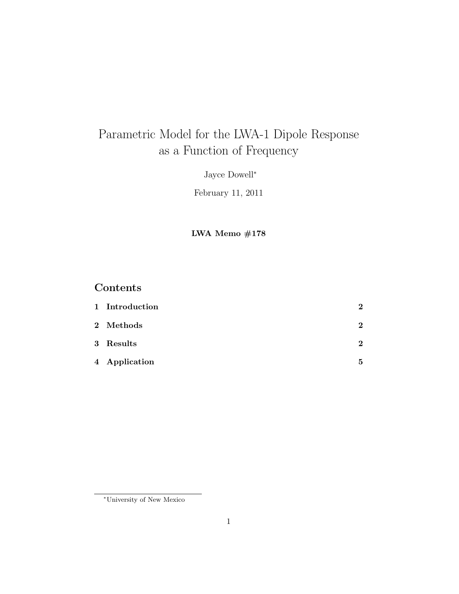# Parametric Model for the LWA-1 Dipole Response as a Function of Frequency

Jayce Dowell<sup>∗</sup>

February 11, 2011

LWA Memo #178

# Contents

| 1 Introduction | $\bf{2}$    |
|----------------|-------------|
| 2 Methods      | $\bf{2}$    |
| 3 Results      | $\mathbf 2$ |
| 4 Application  | 5           |

<sup>∗</sup>University of New Mexico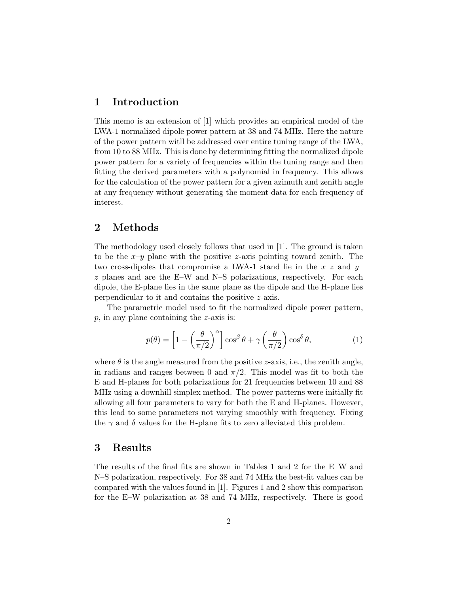#### 1 Introduction

This memo is an extension of [1] which provides an empirical model of the LWA-1 normalized dipole power pattern at 38 and 74 MHz. Here the nature of the power pattern witll be addressed over entire tuning range of the LWA, from 10 to 88 MHz. This is done by determining fitting the normalized dipole power pattern for a variety of frequencies within the tuning range and then fitting the derived parameters with a polynomial in frequency. This allows for the calculation of the power pattern for a given azimuth and zenith angle at any frequency without generating the moment data for each frequency of interest.

#### 2 Methods

The methodology used closely follows that used in [1]. The ground is taken to be the  $x-y$  plane with the positive z-axis pointing toward zenith. The two cross-dipoles that compromise a LWA-1 stand lie in the  $x-z$  and  $y-z$  $z$  planes and are the E–W and N–S polarizations, respectively. For each dipole, the E-plane lies in the same plane as the dipole and the H-plane lies perpendicular to it and contains the positive z-axis.

The parametric model used to fit the normalized dipole power pattern,  $p$ , in any plane containing the  $z$ -axis is:

$$
p(\theta) = \left[1 - \left(\frac{\theta}{\pi/2}\right)^{\alpha}\right] \cos^{\beta} \theta + \gamma \left(\frac{\theta}{\pi/2}\right) \cos^{\delta} \theta, \tag{1}
$$

where  $\theta$  is the angle measured from the positive *z*-axis, i.e., the zenith angle, in radians and ranges between 0 and  $\pi/2$ . This model was fit to both the E and H-planes for both polarizations for 21 frequencies between 10 and 88 MHz using a downhill simplex method. The power patterns were initially fit allowing all four parameters to vary for both the E and H-planes. However, this lead to some parameters not varying smoothly with frequency. Fixing the  $\gamma$  and  $\delta$  values for the H-plane fits to zero alleviated this problem.

#### 3 Results

The results of the final fits are shown in Tables 1 and 2 for the E–W and N–S polarization, respectively. For 38 and 74 MHz the best-fit values can be compared with the values found in [1]. Figures 1 and 2 show this comparison for the E–W polarization at 38 and 74 MHz, respectively. There is good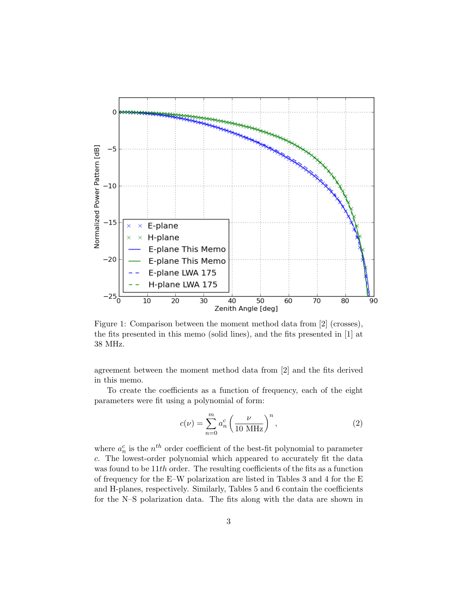

Figure 1: Comparison between the moment method data from [2] (crosses), the fits presented in this memo (solid lines), and the fits presented in [1] at 38 MHz.

agreement between the moment method data from [2] and the fits derived in this memo.

To create the coefficients as a function of frequency, each of the eight parameters were fit using a polynomial of form:

$$
c(\nu) = \sum_{n=0}^{m} a_n^c \left(\frac{\nu}{10 \text{ MHz}}\right)^n,\tag{2}
$$

where  $a_n^c$  is the  $n^{th}$  order coefficient of the best-fit polynomial to parameter c. The lowest-order polynomial which appeared to accurately fit the data was found to be 11th order. The resulting coefficients of the fits as a function of frequency for the E–W polarization are listed in Tables 3 and 4 for the E and H-planes, respectively. Similarly, Tables 5 and 6 contain the coefficients for the N–S polarization data. The fits along with the data are shown in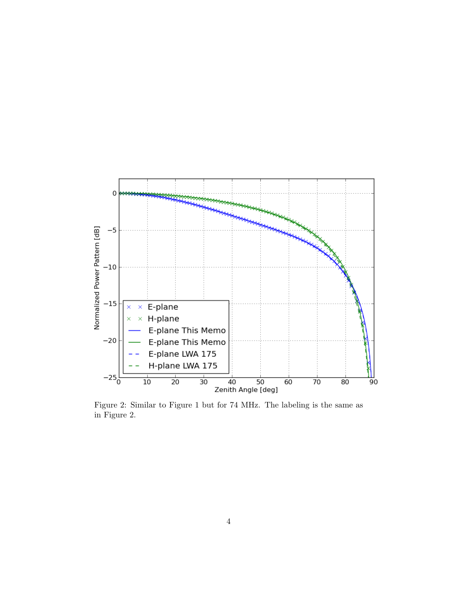

Figure 2: Similar to Figure 1 but for 74 MHz. The labeling is the same as in Figure 2.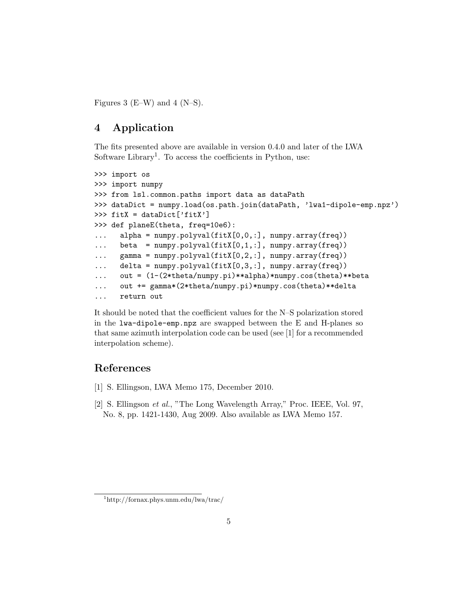Figures 3 (E–W) and 4 (N–S).

## 4 Application

The fits presented above are available in version 0.4.0 and later of the LWA Software Library<sup>1</sup>. To access the coefficients in Python, use:

```
>>> import os
>>> import numpy
>>> from lsl.common.paths import data as dataPath
>>> dataDict = numpy.load(os.path.join(dataPath, 'lwa1-dipole-emp.npz')
>>> fitX = dataDict['fitX']
>>> def planeE(theta, freq=10e6):
... alpha = numpy.polyval(fitX[0,0,:], numpy.array(freq))
... beta = numpy.polyval(fitX[0,1,:], numpy.array(freq))
... gamma = numpy.polyval(fitX[0,2,:], numpy.array(freq))
... delta = numpy.polyval(fitX[0,3,:], numpy.array(freq))
... out = (1-(2*theta/numpy.pi)**alpha)*numpy.cos(theta)**beta
... out += gamma*(2*theta/numpy.pi)*numpy.cos(theta)**delta
... return out
```
It should be noted that the coefficient values for the N–S polarization stored in the lwa-dipole-emp.npz are swapped between the E and H-planes so that same azimuth interpolation code can be used (see [1] for a recommended interpolation scheme).

## References

- [1] S. Ellingson, LWA Memo 175, December 2010.
- [2] S. Ellingson et al., "The Long Wavelength Array," Proc. IEEE, Vol. 97, No. 8, pp. 1421-1430, Aug 2009. Also available as LWA Memo 157.

<sup>1</sup>http://fornax.phys.unm.edu/lwa/trac/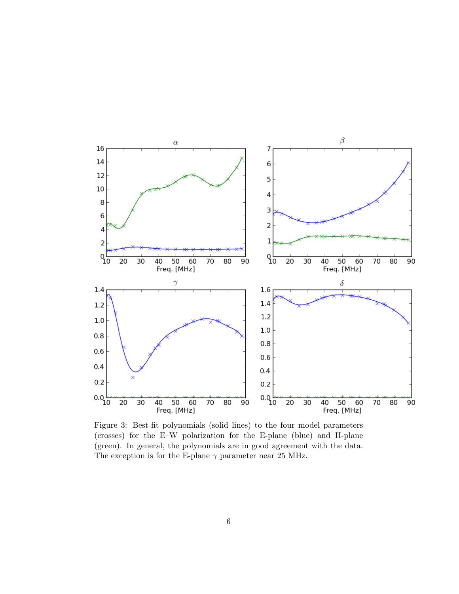

Figure 3: Best-fit polynomials (solid lines) to the four model parameters (crosses) for the E–W polarization for the E-plane (blue) and H-plane (green). In general, the polynomials are in good agreement with the data. The exception is for the E-plane  $\gamma$  parameter near 25 MHz.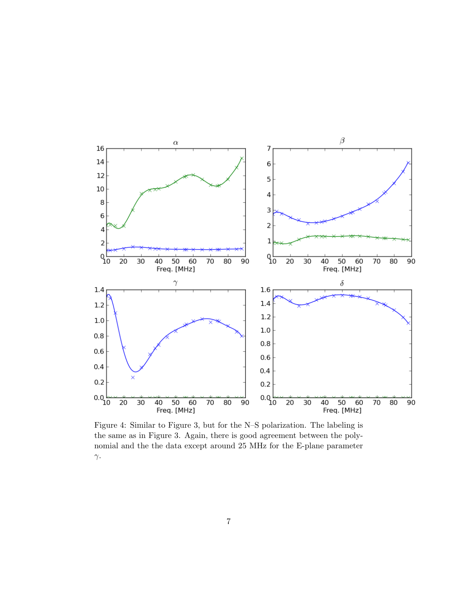

Figure 4: Similar to Figure 3, but for the N–S polarization. The labeling is the same as in Figure 3. Again, there is good agreement between the polynomial and the the data except around 25 MHz for the E-plane parameter γ.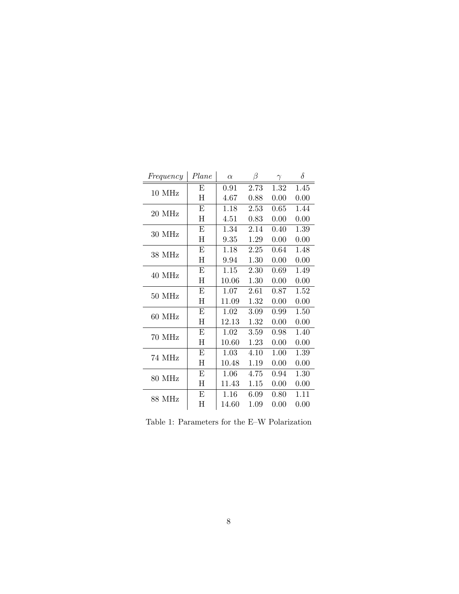| Ε<br>0.91<br>2.73<br>1.32<br>1.45<br>10 MHz<br>Η<br>4.67<br>0.88<br>0.00<br>0.00<br>E<br>2.53<br>0.65<br>1.44<br>1.18<br>20 MHz<br>H<br>0.00<br>4.51<br>0.83<br>0.00<br>E<br>1.34<br>2.14<br>1.39<br>0.40<br>30 MHz<br>$H_{\rm}$<br>0.00<br>9.35<br>1.29<br>0.00<br>E<br>2.25<br>1.18<br>0.64<br>1.48<br>38 MHz<br>H<br>9.94<br>1.30<br>0.00<br>0.00<br>E<br>2.30<br>1.15<br>0.69<br>1.49<br>40 MHz<br>H<br>10.06<br>1.30<br>0.00<br>0.00<br>E<br>1.07<br>2.61<br>1.52<br>0.87<br>50 MHz<br>H<br>11.09<br>1.32<br>0.00<br>0.00<br>E<br>3.09<br>1.50<br>1.02<br>0.99<br>60 MHz<br>H<br>12.13<br>1.32<br>0.00<br>0.00<br>E<br>1.02<br>3.59<br>0.98<br>1.40<br>70 MHz<br>H<br>10.60<br>1.23<br>0.00<br>0.00<br>E<br>4.10<br>1.39<br>1.03<br>1.00<br>74 MHz<br>Η<br>0.00<br>10.48<br>1.19<br>0.00<br>Ε<br>1.06<br>1.30<br>4.75<br>0.94<br>80 MHz<br>H<br>0.00<br>11.43<br>1.15<br>0.00 | Frequency | Plane | $\alpha$ | β | $\gamma$ | $\delta$ |
|------------------------------------------------------------------------------------------------------------------------------------------------------------------------------------------------------------------------------------------------------------------------------------------------------------------------------------------------------------------------------------------------------------------------------------------------------------------------------------------------------------------------------------------------------------------------------------------------------------------------------------------------------------------------------------------------------------------------------------------------------------------------------------------------------------------------------------------------------------------------------------|-----------|-------|----------|---|----------|----------|
|                                                                                                                                                                                                                                                                                                                                                                                                                                                                                                                                                                                                                                                                                                                                                                                                                                                                                    |           |       |          |   |          |          |
|                                                                                                                                                                                                                                                                                                                                                                                                                                                                                                                                                                                                                                                                                                                                                                                                                                                                                    |           |       |          |   |          |          |
|                                                                                                                                                                                                                                                                                                                                                                                                                                                                                                                                                                                                                                                                                                                                                                                                                                                                                    |           |       |          |   |          |          |
|                                                                                                                                                                                                                                                                                                                                                                                                                                                                                                                                                                                                                                                                                                                                                                                                                                                                                    |           |       |          |   |          |          |
|                                                                                                                                                                                                                                                                                                                                                                                                                                                                                                                                                                                                                                                                                                                                                                                                                                                                                    |           |       |          |   |          |          |
|                                                                                                                                                                                                                                                                                                                                                                                                                                                                                                                                                                                                                                                                                                                                                                                                                                                                                    |           |       |          |   |          |          |
|                                                                                                                                                                                                                                                                                                                                                                                                                                                                                                                                                                                                                                                                                                                                                                                                                                                                                    |           |       |          |   |          |          |
|                                                                                                                                                                                                                                                                                                                                                                                                                                                                                                                                                                                                                                                                                                                                                                                                                                                                                    |           |       |          |   |          |          |
|                                                                                                                                                                                                                                                                                                                                                                                                                                                                                                                                                                                                                                                                                                                                                                                                                                                                                    |           |       |          |   |          |          |
|                                                                                                                                                                                                                                                                                                                                                                                                                                                                                                                                                                                                                                                                                                                                                                                                                                                                                    |           |       |          |   |          |          |
|                                                                                                                                                                                                                                                                                                                                                                                                                                                                                                                                                                                                                                                                                                                                                                                                                                                                                    |           |       |          |   |          |          |
|                                                                                                                                                                                                                                                                                                                                                                                                                                                                                                                                                                                                                                                                                                                                                                                                                                                                                    |           |       |          |   |          |          |
|                                                                                                                                                                                                                                                                                                                                                                                                                                                                                                                                                                                                                                                                                                                                                                                                                                                                                    |           |       |          |   |          |          |
|                                                                                                                                                                                                                                                                                                                                                                                                                                                                                                                                                                                                                                                                                                                                                                                                                                                                                    |           |       |          |   |          |          |
|                                                                                                                                                                                                                                                                                                                                                                                                                                                                                                                                                                                                                                                                                                                                                                                                                                                                                    |           |       |          |   |          |          |
|                                                                                                                                                                                                                                                                                                                                                                                                                                                                                                                                                                                                                                                                                                                                                                                                                                                                                    |           |       |          |   |          |          |
|                                                                                                                                                                                                                                                                                                                                                                                                                                                                                                                                                                                                                                                                                                                                                                                                                                                                                    |           |       |          |   |          |          |
|                                                                                                                                                                                                                                                                                                                                                                                                                                                                                                                                                                                                                                                                                                                                                                                                                                                                                    |           |       |          |   |          |          |
|                                                                                                                                                                                                                                                                                                                                                                                                                                                                                                                                                                                                                                                                                                                                                                                                                                                                                    |           |       |          |   |          |          |
|                                                                                                                                                                                                                                                                                                                                                                                                                                                                                                                                                                                                                                                                                                                                                                                                                                                                                    |           |       |          |   |          |          |
| E<br>1.16<br>6.09<br>1.11<br>0.80<br>88 MHz                                                                                                                                                                                                                                                                                                                                                                                                                                                                                                                                                                                                                                                                                                                                                                                                                                        |           |       |          |   |          |          |
| $\rm H$<br>14.60<br>1.09<br>0.00<br>0.00                                                                                                                                                                                                                                                                                                                                                                                                                                                                                                                                                                                                                                                                                                                                                                                                                                           |           |       |          |   |          |          |

Table 1: Parameters for the E–W Polarization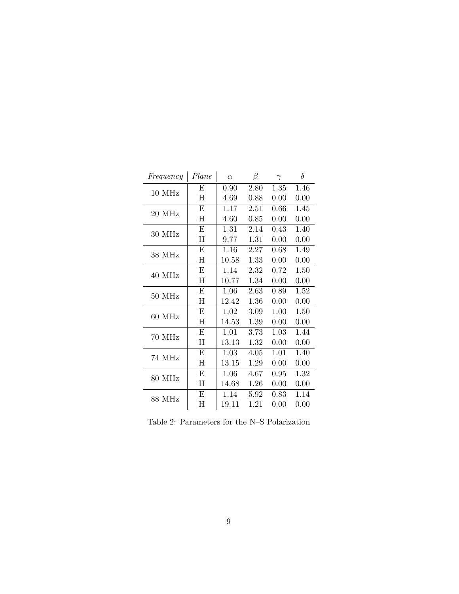| Frequency     | Plane                     | $\alpha$ | β    | $\gamma$ | $\delta$ |
|---------------|---------------------------|----------|------|----------|----------|
| 10 MHz        | Е                         | 0.90     | 2.80 | 1.35     | 1.46     |
|               | $H_{\rm}$                 | 4.69     | 0.88 | 0.00     | 0.00     |
| 20 MHz        | E                         | 1.17     | 2.51 | 0.66     | 1.45     |
|               | $\mathbf H$               | 4.60     | 0.85 | 0.00     | 0.00     |
| 30 MHz        | E                         | 1.31     | 2.14 | 0.43     | 1.40     |
|               | $\boldsymbol{\mathrm{H}}$ | 9.77     | 1.31 | 0.00     | 0.00     |
| 38 MHz        | E                         | 1.16     | 2.27 | 0.68     | 1.49     |
|               | $\mathbf H$               | 10.58    | 1.33 | 0.00     | 0.00     |
| 40 MHz        | Ε                         | 1.14     | 2.32 | 0.72     | 1.50     |
|               | H                         | 10.77    | 1.34 | 0.00     | 0.00     |
| 50 MHz        | Ε                         | 1.06     | 2.63 | 0.89     | 1.52     |
|               | H                         | 12.42    | 1.36 | 0.00     | 0.00     |
| 60 MHz        | Ε                         | 1.02     | 3.09 | 1.00     | 1.50     |
|               | H                         | 14.53    | 1.39 | 0.00     | 0.00     |
| 70 MHz        | E                         | 1.01     | 3.73 | 1.03     | 1.44     |
|               | $\mathbf H$               | 13.13    | 1.32 | 0.00     | 0.00     |
| 74 MHz        | Ε                         | 1.03     | 4.05 | 1.01     | 1.40     |
|               | Η                         | 13.15    | 1.29 | 0.00     | 0.00     |
| 80 MHz        | Ε                         | 1.06     | 4.67 | 0.95     | 1.32     |
|               | $H_{\rm}$                 | 14.68    | 1.26 | 0.00     | 0.00     |
| <b>88 MHz</b> | E                         | 1.14     | 5.92 | 0.83     | 1.14     |
|               | Η                         | 19.11    | 1.21 | 0.00     | 0.00     |

Table 2: Parameters for the N–S Polarization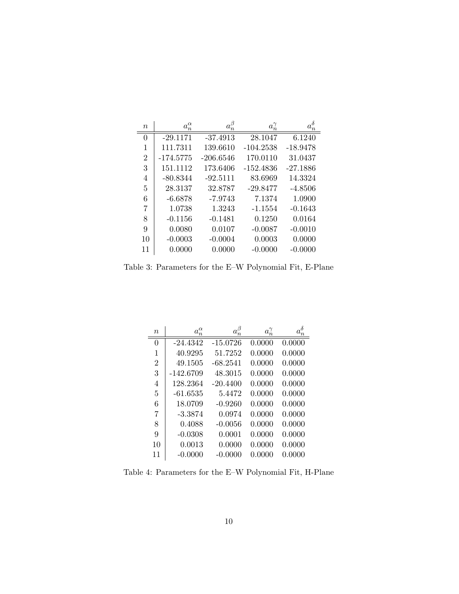| $\it{n}$       | $a_n^{\alpha}$ | $a_n^{\beta}$ | $a_n^{\gamma}$ | $a_n^{\delta}$ |
|----------------|----------------|---------------|----------------|----------------|
| 0              | $-29.1171$     | $-37.4913$    | 28.1047        | 6.1240         |
| 1              | 111.7311       | 139.6610      | $-104.2538$    | $-18.9478$     |
| $\overline{2}$ | $-174.5775$    | $-206.6546$   | 170.0110       | 31.0437        |
| 3              | 151.1112       | 173.6406      | $-152.4836$    | $-27.1886$     |
| 4              | $-80.8344$     | $-92.5111$    | 83.6969        | 14.3324        |
| 5              | 28.3137        | 32.8787       | $-29.8477$     | $-4.8506$      |
| 6              | $-6.6878$      | $-7.9743$     | 7.1374         | 1.0900         |
| 7              | 1.0738         | 1.3243        | $-1.1554$      | $-0.1643$      |
| 8              | $-0.1156$      | $-0.1481$     | 0.1250         | 0.0164         |
| 9              | 0.0080         | 0.0107        | $-0.0087$      | $-0.0010$      |
| 10             | $-0.0003$      | $-0.0004$     | 0.0003         | 0.0000         |
| 11             | 0.0000         | 0.0000        | $-0.0000$      | $-0.0000$      |

Table 3: Parameters for the E–W Polynomial Fit, E-Plane

| $\eta$         | $a_n^{\alpha}$ | $a_n^\beta$ | $a_n^{\gamma}$ | $a_n^{\delta}$ |
|----------------|----------------|-------------|----------------|----------------|
| 0              | $-24.4342$     | $-15.0726$  | 0.0000         | 0.0000         |
| 1              | 40.9295        | 51.7252     | 0.0000         | 0.0000         |
| $\overline{2}$ | 49.1505        | $-68.2541$  | 0.0000         | 0.0000         |
| 3              | $-142.6709$    | 48.3015     | 0.0000         | 0.0000         |
| 4              | 128.2364       | $-20.4400$  | 0.0000         | 0.0000         |
| 5              | $-61.6535$     | 5.4472      | 0.0000         | 0.0000         |
| 6              | 18.0709        | $-0.9260$   | 0.0000         | 0.0000         |
| 7              | $-3.3874$      | 0.0974      | 0.0000         | 0.0000         |
| 8              | 0.4088         | $-0.0056$   | 0.0000         | 0.0000         |
| 9              | $-0.0308$      | 0.0001      | 0.0000         | 0.0000         |
| 10             | 0.0013         | 0.0000      | 0.0000         | 0.0000         |
| 11             | -0.0000        | $-0.0000$   | 0.0000         | 0.0000         |

Table 4: Parameters for the E–W Polynomial Fit, H-Plane